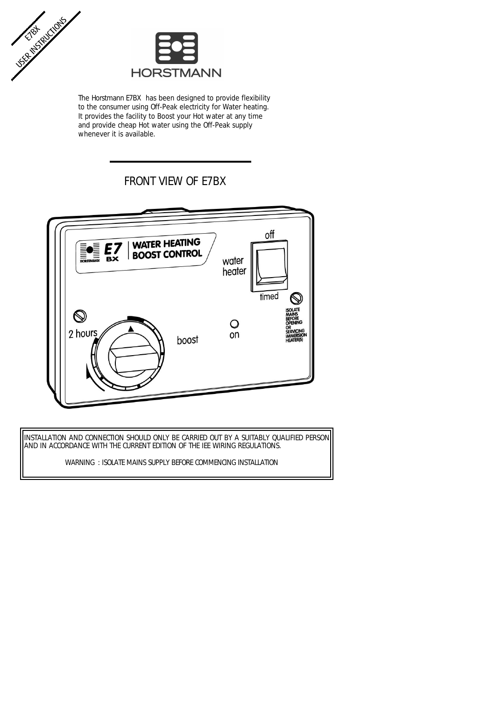



The Horstmann E7BX has been designed to provide flexibility to the consumer using Off-Peak electricity for Water heating. It provides the facility to Boost your Hot water at any time and provide cheap Hot water using the Off-Peak supply whenever it is available.

# FRONT VIEW OF E7BX



INSTALLATION AND CONNECTION SHOULD ONLY BE CARRIED OUT BY A SUITABLY QUALIFIED PERSON AND IN ACCORDANCE WITH THE CURRENT EDITION OF THE IEE WIRING REGULATIONS.

WARNING : ISOLATE MAINS SUPPLY BEFORE COMMENCING INSTALLATION